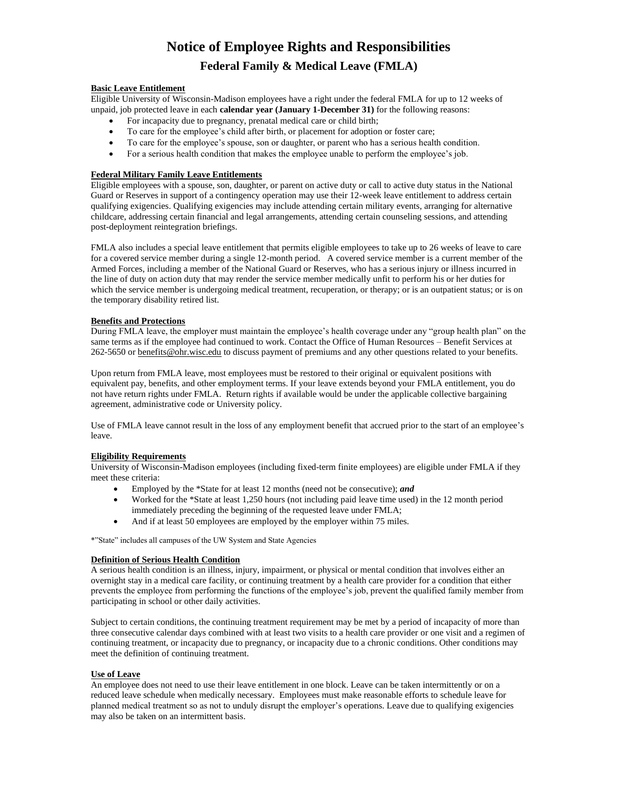# **Notice of Employee Rights and Responsibilities Federal Family & Medical Leave (FMLA)**

# **Basic Leave Entitlement**

Eligible University of Wisconsin-Madison employees have a right under the federal FMLA for up to 12 weeks of unpaid, job protected leave in each **calendar year (January 1-December 31)** for the following reasons:

- For incapacity due to pregnancy, prenatal medical care or child birth;
- To care for the employee's child after birth, or placement for adoption or foster care;
- To care for the employee's spouse, son or daughter, or parent who has a serious health condition.
- For a serious health condition that makes the employee unable to perform the employee's job.

# **Federal Military Family Leave Entitlements**

Eligible employees with a spouse, son, daughter, or parent on active duty or call to active duty status in the National Guard or Reserves in support of a contingency operation may use their 12-week leave entitlement to address certain qualifying exigencies. Qualifying exigencies may include attending certain military events, arranging for alternative childcare, addressing certain financial and legal arrangements, attending certain counseling sessions, and attending post-deployment reintegration briefings.

FMLA also includes a special leave entitlement that permits eligible employees to take up to 26 weeks of leave to care for a covered service member during a single 12-month period. A covered service member is a current member of the Armed Forces, including a member of the National Guard or Reserves, who has a serious injury or illness incurred in the line of duty on action duty that may render the service member medically unfit to perform his or her duties for which the service member is undergoing medical treatment, recuperation, or therapy; or is an outpatient status; or is on the temporary disability retired list.

# **Benefits and Protections**

During FMLA leave, the employer must maintain the employee's health coverage under any "group health plan" on the same terms as if the employee had continued to work. Contact the Office of Human Resources – Benefit Services at 262-5650 o[r benefits@ohr.wisc.edu](mailto:benefits@ohr.wisc.edu) to discuss payment of premiums and any other questions related to your benefits.

Upon return from FMLA leave, most employees must be restored to their original or equivalent positions with equivalent pay, benefits, and other employment terms. If your leave extends beyond your FMLA entitlement, you do not have return rights under FMLA. Return rights if available would be under the applicable collective bargaining agreement, administrative code or University policy.

Use of FMLA leave cannot result in the loss of any employment benefit that accrued prior to the start of an employee's leave.

#### **Eligibility Requirements**

University of Wisconsin-Madison employees (including fixed-term finite employees) are eligible under FMLA if they meet these criteria:

- Employed by the \*State for at least 12 months (need not be consecutive); *and*
- Worked for the \*State at least 1,250 hours (not including paid leave time used) in the 12 month period immediately preceding the beginning of the requested leave under FMLA;
- And if at least 50 employees are employed by the employer within 75 miles.

\*"State" includes all campuses of the UW System and State Agencies

#### **Definition of Serious Health Condition**

A serious health condition is an illness, injury, impairment, or physical or mental condition that involves either an overnight stay in a medical care facility, or continuing treatment by a health care provider for a condition that either prevents the employee from performing the functions of the employee's job, prevent the qualified family member from participating in school or other daily activities.

Subject to certain conditions, the continuing treatment requirement may be met by a period of incapacity of more than three consecutive calendar days combined with at least two visits to a health care provider or one visit and a regimen of continuing treatment, or incapacity due to pregnancy, or incapacity due to a chronic conditions. Other conditions may meet the definition of continuing treatment.

# **Use of Leave**

An employee does not need to use their leave entitlement in one block. Leave can be taken intermittently or on a reduced leave schedule when medically necessary. Employees must make reasonable efforts to schedule leave for planned medical treatment so as not to unduly disrupt the employer's operations. Leave due to qualifying exigencies may also be taken on an intermittent basis.